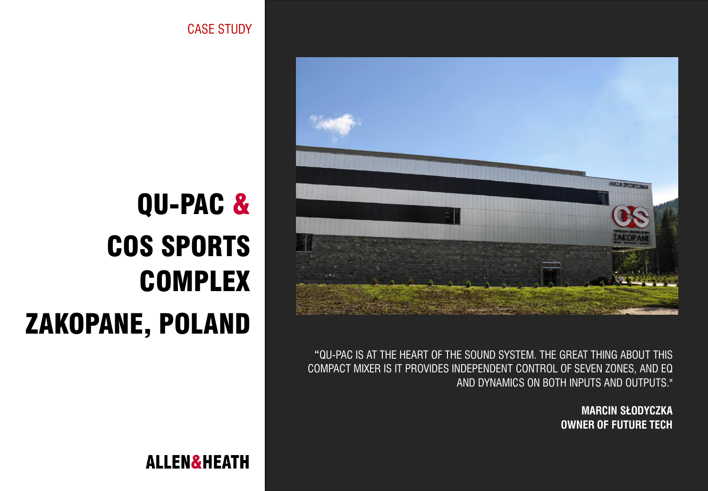

**"**QU-PAC IS AT THE HEART OF THE SOUND SYSTEM. THE GREAT THING ABOUT THIS COMPACT MIXER IS IT PROVIDES INDEPENDENT CONTROL OF SEVEN ZONES, AND EQ AND DYNAMICS ON BOTH INPUTS AND OUTPUTS."

> **MARCIN SŁODYCZKA OWNER OF FUTURE TECH**

CASE STUDY

## QU-PAC & COS SPORTS COMPLEX ZAKOPANE, POLAND

**ALLEN&HEATH**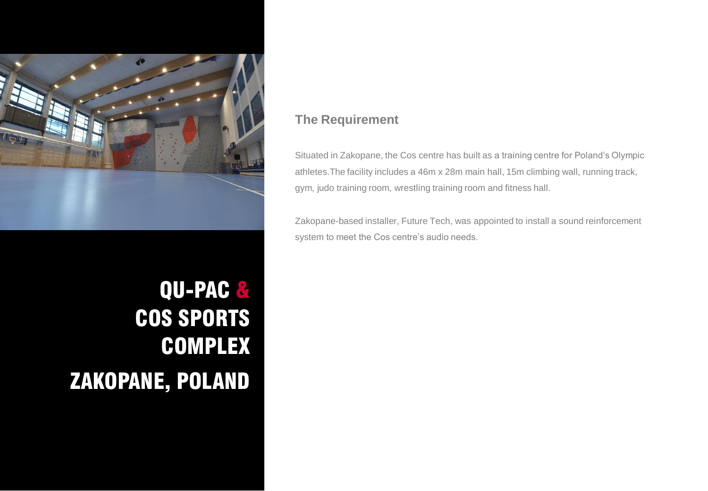

## QU-PAC & COS SPORTS COMPLEX ZAKOPANE, POLAND

## **The Requirement**

Situated in Zakopane, the Cos centre has built as a training centre for Poland's Olympic athletes.The facility includes a 46m x 28m main hall, 15m climbing wall, running track, gym, judo training room, wrestling training room and fitness hall.

Zakopane-based installer, Future Tech, was appointed to install a sound reinforcement system to meet the Cos centre's audio needs.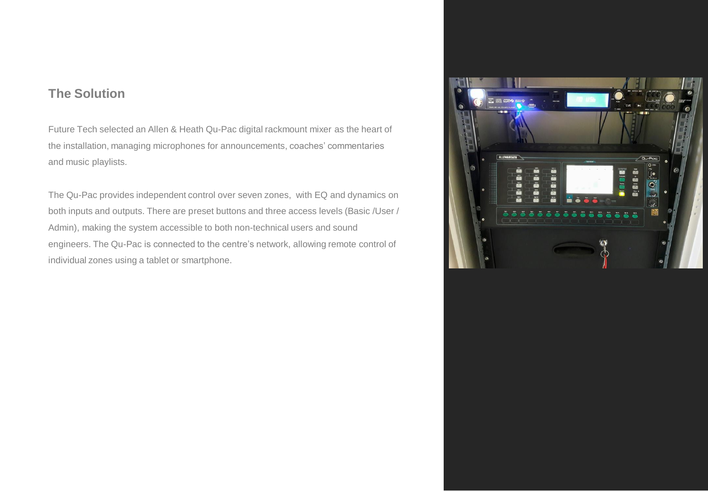## **The Solution**

Future Tech selected an Allen & Heath Qu-Pac digital rackmount mixer as the heart of the installation, managing microphones for announcements, coaches' commentaries and music playlists.

The Qu-Pac provides independent control over seven zones, with EQ and dynamics on both inputs and outputs. There are preset buttons and three access levels (Basic /User / Admin), making the system accessible to both non-technical users and sound engineers. The Qu-Pac is connected to the centre's network, allowing remote control of individual zones using a tablet or smartphone.